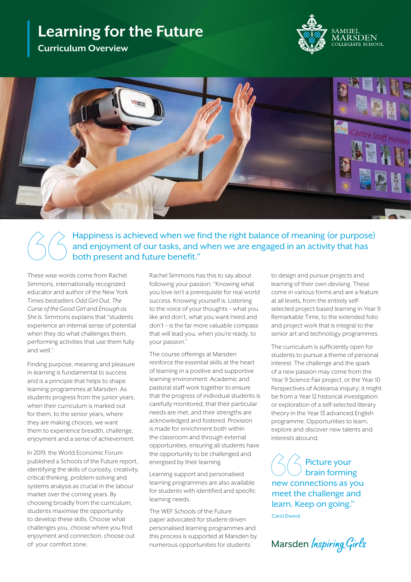# **Learning for the Future**

**Curriculum Overview**





Happiness is achieved when we find the right balance of meaning (or purpose) and enjoyment of our tasks, and when we are engaged in an activity that has both present and future benefit."

These wise words come from Rachel Simmons, internationally recognized educator and author of the New York Times bestsellers *Odd Girl Out*, *The Curse of the Good Girl* and *Enough as She Is*. Simmons explains that "students experience an internal sense of potential when they do what challenges them, performing activities that use them fully and well."

Finding purpose, meaning and pleasure in learning is fundamental to success and is a principle that helps to shape learning programmes at Marsden. As students progress from the junior years, when their curriculum is marked out for them, to the senior years, where they are making choices, we want them to experience breadth, challenge, enjoyment and a sense of achievement.

In 2019, the World Economic Forum published a Schools of the Future report, identifying the skills of curiosity, creativity, critical thinking, problem-solving and systems analysis as crucial in the labour market over the coming years. By choosing broadly from the curriculum, students maximise the opportunity to develop these skills. Choose what challenges you, choose where you find enjoyment and connection, choose out of your comfort zone.

Rachel Simmons has this to say about following your passion: "Knowing what you love isn't a prerequisite for real world success. Knowing yourself is. Listening to the voice of your thoughts – what you like and don't, what you want/need and don't – is the far more valuable compass that will lead you, when you're ready, to your passion."

The course offerings at Marsden reinforce the essential skills at the heart of learning in a positive and supportive learning environment. Academic and pastoral staff work together to ensure that the progress of individual students is carefully monitored, that their particular needs are met, and their strengths are acknowledged and fostered. Provision is made for enrichment both within the classroom and through external opportunities, ensuring all students have the opportunity to be challenged and energised by their learning.

Learning support and personalised learning programmes are also available for students with identified and specific learning needs.

The WEF Schools of the Future paper advocated for student-driven personalised learning programmes and this process is supported at Marsden by numerous opportunities for students

to design and pursue projects and learning of their own devising. These come in various forms and are a feature at all levels, from the entirely selfselected project-based learning in Year 9 Remarkable Time, to the extended folio and project work that is integral to the senior art and technology programmes.

The curriculum is sufficiently open for students to pursue a theme of personal interest. The challenge and the spark of a new passion may come from the Year 9 Science Fair project, or the Year 10 Perspectives of Aotearoa inquiry; it might be from a Year 12 historical investigation or exploration of a self-selected literary theory in the Year 13 advanced English programme. Opportunities to learn, explore and discover new talents and interests abound.

Picture your brain forming new connections as you meet the challenge and learn. Keep on going."

Carol Dweck

Marsden Inspiring Girls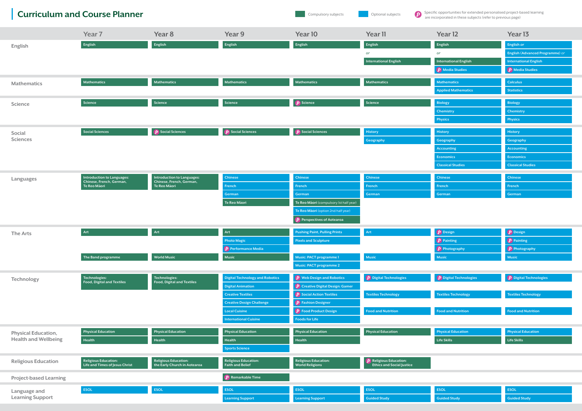## Curriculum and Course Planner **Curriculum** and Course Planner Compulsory subjects Compulsory subjects and a compulsory subjects of a specific opportunities for extended personalised project-based learning

| English<br>English<br>English<br>English<br>English<br>English<br>English or<br>English<br><b>English (Advanced Programme)</b> or<br>or<br>or<br><b>International English</b><br><b>International English</b><br><b>International English</b><br>$\boxed{\boldsymbol{D}}$ Media Studies<br>$\left(\boldsymbol{\mathcal{p}}\right)$ Media Studies<br>Mathematics<br>Mathematics<br>Mathematics<br>Mathematics<br>Mathematics<br><b>Calculus</b><br><b>Mathematics</b><br><b>Mathematics</b><br><b>Statistics</b><br><b>Applied Mathematics</b><br>$\boxed{\boldsymbol{p}}$ Science<br>Science<br>Science<br>Science<br>Science<br><b>Biology</b><br><b>Biology</b><br><b>Science</b><br><b>Chemistry</b><br><b>Chemistry</b><br><b>Physics</b><br><b>Physics</b><br>$\boxed{\boldsymbol{p}}$ Social Sciences<br>$\boxed{\boldsymbol{p}}$ Social Sciences<br>$\boxed{\boldsymbol{p}}$ Social Sciences<br>Social Sciences<br><b>History</b><br><b>History</b><br><b>History</b><br>Social<br><b>Sciences</b><br>Geography<br>Geography<br>Geography<br><b>Accounting</b><br><b>Accounting</b><br><b>Economics</b><br><b>Economics</b><br><b>Classical Studies</b><br><b>Classical Studies</b><br><b>Introduction to Languages:</b><br><b>Introduction to Languages:</b><br>Chinese<br><b>Chinese</b><br><b>Chinese</b><br><b>Chinese</b><br><b>Chinese</b><br>Languages<br>Chinese, French, German,<br>Chinese, French, German,<br>Te Reo Māori<br>Te Reo Māori<br>French<br>French<br>French<br><b>French</b><br>French<br>German<br>German<br>German<br>German<br>German<br>Te Reo Māori<br>Te Reo Māori (compulsory 1st half year)<br>Te Reo Maori (option 2nd half year)<br>$\left\langle \boldsymbol{P}\right\rangle$ Perspectives of Aotearoa<br>$\boxed{\boldsymbol{D}}$ Design<br>$\boxed{\boldsymbol{p}}$ Design<br>Art<br>Art<br>Art<br>Art<br><b>Pushing Paint, Pulling Prints</b><br><b>The Arts</b><br>$\left(\boldsymbol{\mathcal{p}}\right)$ Painting<br>$\left(\boldsymbol{\mathcal{D}}\right)$ Painting<br><b>Photo Magic</b><br><b>Pixels and Sculpture</b><br>$\boxed{\boldsymbol{p}}$ Photography<br>$\left(\boldsymbol{\mathit{p}}\right)$ Performance Media<br>$\left(\boldsymbol{p}\right)$ Photography<br>Music<br>Music<br>Music<br><b>World Music</b><br>Music: PACT programme 1<br>Music<br>The Band programme<br>Music: PACT programme 2<br>$\boxed{\boldsymbol{D}}$ Digital Technologies<br>$\oint$ Digital Technologies<br>$\hat{\boldsymbol{P}}$ Web Design and Robotics<br>$\boxed{\boldsymbol{D}}$ Digital Technologies<br>Technologies:<br>Technologies:<br><b>Digital Technology and Robotics</b><br>Technology<br>Food, Digital and Textiles<br>Food, Digital and Textiles<br>$\left( p\right)$ Creative Digital Design: Gamer<br><b>Digital Animation</b><br>$\left( p\right)$ Social Action Textiles<br><b>Textiles Technology</b><br><b>Textiles Technology</b><br><b>Textiles Technology</b><br><b>Creative Textiles</b><br>$\boxed{\boldsymbol{p}}$ Fashion Designer<br><b>Creative Design Challenge</b><br>$\boxed{\boldsymbol{p}}$ Food Product Design<br><b>Food and Nutrition</b><br><b>Food and Nutrition</b><br><b>Local Cuisine</b><br><b>Food and Nutrition</b><br><b>Foods for Life</b><br><b>International Cuisine</b><br><b>Physical Education</b><br><b>Physical Education</b><br><b>Physical Education</b><br><b>Physical Education</b><br><b>Physical Education</b><br><b>Physical Education</b><br><b>Physical Education</b><br><b>Physical Education,</b><br><b>Health and Wellbeing</b><br>Health<br>Health<br><b>Life Skills</b><br><b>Life Skills</b><br>Health<br>Health<br><b>Sports Science</b><br>$\overline{p}$ Religious Education:<br>Ethics and Social Justice<br><b>Religious Education:</b><br><b>Religious Education:</b><br><b>Religious Education:</b><br><b>Religious Education:</b><br><b>Religious Education</b><br>Life and Times of Jesus Christ<br>the Early Church in Aotearoa<br><b>Faith and Belief</b><br><b>World Religions</b><br>$\boxed{\boldsymbol{p}}$ Remarkable Time<br><b>Project-based Learning</b><br>ESOL<br><b>ESOL</b><br>ESOL<br>ESOL<br><b>ESOL</b><br>ESOL<br><b>ESOL</b><br>Language and<br><b>Learning Support</b> |  |  | Year <sub>7</sub> | Year 8 | Year 9                  | Year 10                 | Year 11             | Year 12             | Year <sub>13</sub>  |
|-----------------------------------------------------------------------------------------------------------------------------------------------------------------------------------------------------------------------------------------------------------------------------------------------------------------------------------------------------------------------------------------------------------------------------------------------------------------------------------------------------------------------------------------------------------------------------------------------------------------------------------------------------------------------------------------------------------------------------------------------------------------------------------------------------------------------------------------------------------------------------------------------------------------------------------------------------------------------------------------------------------------------------------------------------------------------------------------------------------------------------------------------------------------------------------------------------------------------------------------------------------------------------------------------------------------------------------------------------------------------------------------------------------------------------------------------------------------------------------------------------------------------------------------------------------------------------------------------------------------------------------------------------------------------------------------------------------------------------------------------------------------------------------------------------------------------------------------------------------------------------------------------------------------------------------------------------------------------------------------------------------------------------------------------------------------------------------------------------------------------------------------------------------------------------------------------------------------------------------------------------------------------------------------------------------------------------------------------------------------------------------------------------------------------------------------------------------------------------------------------------------------------------------------------------------------------------------------------------------------------------------------------------------------------------------------------------------------------------------------------------------------------------------------------------------------------------------------------------------------------------------------------------------------------------------------------------------------------------------------------------------------------------------------------------------------------------------------------------------------------------------------------------------------------------------------------------------------------------------------------------------------------------------------------------------------------------------------------------------------------------------------------------------------------------------------------------------------------------------------------------------------------------------------------------------------------------------------------------------------------------------------------------------------------------------------------------------------------------------------------------------------------------------------------------------------------------------------------------------------------------------------------------------------------------------------------------------------------------------------------------------------------------------------------------------------------------------------------------------------------------------------------------------------------------------------------------------------------|--|--|-------------------|--------|-------------------------|-------------------------|---------------------|---------------------|---------------------|
|                                                                                                                                                                                                                                                                                                                                                                                                                                                                                                                                                                                                                                                                                                                                                                                                                                                                                                                                                                                                                                                                                                                                                                                                                                                                                                                                                                                                                                                                                                                                                                                                                                                                                                                                                                                                                                                                                                                                                                                                                                                                                                                                                                                                                                                                                                                                                                                                                                                                                                                                                                                                                                                                                                                                                                                                                                                                                                                                                                                                                                                                                                                                                                                                                                                                                                                                                                                                                                                                                                                                                                                                                                                                                                                                                                                                                                                                                                                                                                                                                                                                                                                                                                                                                       |  |  |                   |        |                         |                         |                     |                     |                     |
|                                                                                                                                                                                                                                                                                                                                                                                                                                                                                                                                                                                                                                                                                                                                                                                                                                                                                                                                                                                                                                                                                                                                                                                                                                                                                                                                                                                                                                                                                                                                                                                                                                                                                                                                                                                                                                                                                                                                                                                                                                                                                                                                                                                                                                                                                                                                                                                                                                                                                                                                                                                                                                                                                                                                                                                                                                                                                                                                                                                                                                                                                                                                                                                                                                                                                                                                                                                                                                                                                                                                                                                                                                                                                                                                                                                                                                                                                                                                                                                                                                                                                                                                                                                                                       |  |  |                   |        |                         |                         |                     |                     |                     |
|                                                                                                                                                                                                                                                                                                                                                                                                                                                                                                                                                                                                                                                                                                                                                                                                                                                                                                                                                                                                                                                                                                                                                                                                                                                                                                                                                                                                                                                                                                                                                                                                                                                                                                                                                                                                                                                                                                                                                                                                                                                                                                                                                                                                                                                                                                                                                                                                                                                                                                                                                                                                                                                                                                                                                                                                                                                                                                                                                                                                                                                                                                                                                                                                                                                                                                                                                                                                                                                                                                                                                                                                                                                                                                                                                                                                                                                                                                                                                                                                                                                                                                                                                                                                                       |  |  |                   |        |                         |                         |                     |                     |                     |
|                                                                                                                                                                                                                                                                                                                                                                                                                                                                                                                                                                                                                                                                                                                                                                                                                                                                                                                                                                                                                                                                                                                                                                                                                                                                                                                                                                                                                                                                                                                                                                                                                                                                                                                                                                                                                                                                                                                                                                                                                                                                                                                                                                                                                                                                                                                                                                                                                                                                                                                                                                                                                                                                                                                                                                                                                                                                                                                                                                                                                                                                                                                                                                                                                                                                                                                                                                                                                                                                                                                                                                                                                                                                                                                                                                                                                                                                                                                                                                                                                                                                                                                                                                                                                       |  |  |                   |        |                         |                         |                     |                     |                     |
|                                                                                                                                                                                                                                                                                                                                                                                                                                                                                                                                                                                                                                                                                                                                                                                                                                                                                                                                                                                                                                                                                                                                                                                                                                                                                                                                                                                                                                                                                                                                                                                                                                                                                                                                                                                                                                                                                                                                                                                                                                                                                                                                                                                                                                                                                                                                                                                                                                                                                                                                                                                                                                                                                                                                                                                                                                                                                                                                                                                                                                                                                                                                                                                                                                                                                                                                                                                                                                                                                                                                                                                                                                                                                                                                                                                                                                                                                                                                                                                                                                                                                                                                                                                                                       |  |  |                   |        |                         |                         |                     |                     |                     |
|                                                                                                                                                                                                                                                                                                                                                                                                                                                                                                                                                                                                                                                                                                                                                                                                                                                                                                                                                                                                                                                                                                                                                                                                                                                                                                                                                                                                                                                                                                                                                                                                                                                                                                                                                                                                                                                                                                                                                                                                                                                                                                                                                                                                                                                                                                                                                                                                                                                                                                                                                                                                                                                                                                                                                                                                                                                                                                                                                                                                                                                                                                                                                                                                                                                                                                                                                                                                                                                                                                                                                                                                                                                                                                                                                                                                                                                                                                                                                                                                                                                                                                                                                                                                                       |  |  |                   |        |                         |                         |                     |                     |                     |
|                                                                                                                                                                                                                                                                                                                                                                                                                                                                                                                                                                                                                                                                                                                                                                                                                                                                                                                                                                                                                                                                                                                                                                                                                                                                                                                                                                                                                                                                                                                                                                                                                                                                                                                                                                                                                                                                                                                                                                                                                                                                                                                                                                                                                                                                                                                                                                                                                                                                                                                                                                                                                                                                                                                                                                                                                                                                                                                                                                                                                                                                                                                                                                                                                                                                                                                                                                                                                                                                                                                                                                                                                                                                                                                                                                                                                                                                                                                                                                                                                                                                                                                                                                                                                       |  |  |                   |        |                         |                         |                     |                     |                     |
|                                                                                                                                                                                                                                                                                                                                                                                                                                                                                                                                                                                                                                                                                                                                                                                                                                                                                                                                                                                                                                                                                                                                                                                                                                                                                                                                                                                                                                                                                                                                                                                                                                                                                                                                                                                                                                                                                                                                                                                                                                                                                                                                                                                                                                                                                                                                                                                                                                                                                                                                                                                                                                                                                                                                                                                                                                                                                                                                                                                                                                                                                                                                                                                                                                                                                                                                                                                                                                                                                                                                                                                                                                                                                                                                                                                                                                                                                                                                                                                                                                                                                                                                                                                                                       |  |  |                   |        |                         |                         |                     |                     |                     |
|                                                                                                                                                                                                                                                                                                                                                                                                                                                                                                                                                                                                                                                                                                                                                                                                                                                                                                                                                                                                                                                                                                                                                                                                                                                                                                                                                                                                                                                                                                                                                                                                                                                                                                                                                                                                                                                                                                                                                                                                                                                                                                                                                                                                                                                                                                                                                                                                                                                                                                                                                                                                                                                                                                                                                                                                                                                                                                                                                                                                                                                                                                                                                                                                                                                                                                                                                                                                                                                                                                                                                                                                                                                                                                                                                                                                                                                                                                                                                                                                                                                                                                                                                                                                                       |  |  |                   |        |                         |                         |                     |                     |                     |
|                                                                                                                                                                                                                                                                                                                                                                                                                                                                                                                                                                                                                                                                                                                                                                                                                                                                                                                                                                                                                                                                                                                                                                                                                                                                                                                                                                                                                                                                                                                                                                                                                                                                                                                                                                                                                                                                                                                                                                                                                                                                                                                                                                                                                                                                                                                                                                                                                                                                                                                                                                                                                                                                                                                                                                                                                                                                                                                                                                                                                                                                                                                                                                                                                                                                                                                                                                                                                                                                                                                                                                                                                                                                                                                                                                                                                                                                                                                                                                                                                                                                                                                                                                                                                       |  |  |                   |        |                         |                         |                     |                     |                     |
|                                                                                                                                                                                                                                                                                                                                                                                                                                                                                                                                                                                                                                                                                                                                                                                                                                                                                                                                                                                                                                                                                                                                                                                                                                                                                                                                                                                                                                                                                                                                                                                                                                                                                                                                                                                                                                                                                                                                                                                                                                                                                                                                                                                                                                                                                                                                                                                                                                                                                                                                                                                                                                                                                                                                                                                                                                                                                                                                                                                                                                                                                                                                                                                                                                                                                                                                                                                                                                                                                                                                                                                                                                                                                                                                                                                                                                                                                                                                                                                                                                                                                                                                                                                                                       |  |  |                   |        |                         |                         |                     |                     |                     |
|                                                                                                                                                                                                                                                                                                                                                                                                                                                                                                                                                                                                                                                                                                                                                                                                                                                                                                                                                                                                                                                                                                                                                                                                                                                                                                                                                                                                                                                                                                                                                                                                                                                                                                                                                                                                                                                                                                                                                                                                                                                                                                                                                                                                                                                                                                                                                                                                                                                                                                                                                                                                                                                                                                                                                                                                                                                                                                                                                                                                                                                                                                                                                                                                                                                                                                                                                                                                                                                                                                                                                                                                                                                                                                                                                                                                                                                                                                                                                                                                                                                                                                                                                                                                                       |  |  |                   |        |                         |                         |                     |                     |                     |
|                                                                                                                                                                                                                                                                                                                                                                                                                                                                                                                                                                                                                                                                                                                                                                                                                                                                                                                                                                                                                                                                                                                                                                                                                                                                                                                                                                                                                                                                                                                                                                                                                                                                                                                                                                                                                                                                                                                                                                                                                                                                                                                                                                                                                                                                                                                                                                                                                                                                                                                                                                                                                                                                                                                                                                                                                                                                                                                                                                                                                                                                                                                                                                                                                                                                                                                                                                                                                                                                                                                                                                                                                                                                                                                                                                                                                                                                                                                                                                                                                                                                                                                                                                                                                       |  |  |                   |        |                         |                         |                     |                     |                     |
|                                                                                                                                                                                                                                                                                                                                                                                                                                                                                                                                                                                                                                                                                                                                                                                                                                                                                                                                                                                                                                                                                                                                                                                                                                                                                                                                                                                                                                                                                                                                                                                                                                                                                                                                                                                                                                                                                                                                                                                                                                                                                                                                                                                                                                                                                                                                                                                                                                                                                                                                                                                                                                                                                                                                                                                                                                                                                                                                                                                                                                                                                                                                                                                                                                                                                                                                                                                                                                                                                                                                                                                                                                                                                                                                                                                                                                                                                                                                                                                                                                                                                                                                                                                                                       |  |  |                   |        |                         |                         |                     |                     |                     |
|                                                                                                                                                                                                                                                                                                                                                                                                                                                                                                                                                                                                                                                                                                                                                                                                                                                                                                                                                                                                                                                                                                                                                                                                                                                                                                                                                                                                                                                                                                                                                                                                                                                                                                                                                                                                                                                                                                                                                                                                                                                                                                                                                                                                                                                                                                                                                                                                                                                                                                                                                                                                                                                                                                                                                                                                                                                                                                                                                                                                                                                                                                                                                                                                                                                                                                                                                                                                                                                                                                                                                                                                                                                                                                                                                                                                                                                                                                                                                                                                                                                                                                                                                                                                                       |  |  |                   |        |                         |                         |                     |                     |                     |
|                                                                                                                                                                                                                                                                                                                                                                                                                                                                                                                                                                                                                                                                                                                                                                                                                                                                                                                                                                                                                                                                                                                                                                                                                                                                                                                                                                                                                                                                                                                                                                                                                                                                                                                                                                                                                                                                                                                                                                                                                                                                                                                                                                                                                                                                                                                                                                                                                                                                                                                                                                                                                                                                                                                                                                                                                                                                                                                                                                                                                                                                                                                                                                                                                                                                                                                                                                                                                                                                                                                                                                                                                                                                                                                                                                                                                                                                                                                                                                                                                                                                                                                                                                                                                       |  |  |                   |        |                         |                         |                     |                     |                     |
|                                                                                                                                                                                                                                                                                                                                                                                                                                                                                                                                                                                                                                                                                                                                                                                                                                                                                                                                                                                                                                                                                                                                                                                                                                                                                                                                                                                                                                                                                                                                                                                                                                                                                                                                                                                                                                                                                                                                                                                                                                                                                                                                                                                                                                                                                                                                                                                                                                                                                                                                                                                                                                                                                                                                                                                                                                                                                                                                                                                                                                                                                                                                                                                                                                                                                                                                                                                                                                                                                                                                                                                                                                                                                                                                                                                                                                                                                                                                                                                                                                                                                                                                                                                                                       |  |  |                   |        |                         |                         |                     |                     |                     |
|                                                                                                                                                                                                                                                                                                                                                                                                                                                                                                                                                                                                                                                                                                                                                                                                                                                                                                                                                                                                                                                                                                                                                                                                                                                                                                                                                                                                                                                                                                                                                                                                                                                                                                                                                                                                                                                                                                                                                                                                                                                                                                                                                                                                                                                                                                                                                                                                                                                                                                                                                                                                                                                                                                                                                                                                                                                                                                                                                                                                                                                                                                                                                                                                                                                                                                                                                                                                                                                                                                                                                                                                                                                                                                                                                                                                                                                                                                                                                                                                                                                                                                                                                                                                                       |  |  |                   |        |                         |                         |                     |                     |                     |
|                                                                                                                                                                                                                                                                                                                                                                                                                                                                                                                                                                                                                                                                                                                                                                                                                                                                                                                                                                                                                                                                                                                                                                                                                                                                                                                                                                                                                                                                                                                                                                                                                                                                                                                                                                                                                                                                                                                                                                                                                                                                                                                                                                                                                                                                                                                                                                                                                                                                                                                                                                                                                                                                                                                                                                                                                                                                                                                                                                                                                                                                                                                                                                                                                                                                                                                                                                                                                                                                                                                                                                                                                                                                                                                                                                                                                                                                                                                                                                                                                                                                                                                                                                                                                       |  |  |                   |        |                         |                         |                     |                     |                     |
|                                                                                                                                                                                                                                                                                                                                                                                                                                                                                                                                                                                                                                                                                                                                                                                                                                                                                                                                                                                                                                                                                                                                                                                                                                                                                                                                                                                                                                                                                                                                                                                                                                                                                                                                                                                                                                                                                                                                                                                                                                                                                                                                                                                                                                                                                                                                                                                                                                                                                                                                                                                                                                                                                                                                                                                                                                                                                                                                                                                                                                                                                                                                                                                                                                                                                                                                                                                                                                                                                                                                                                                                                                                                                                                                                                                                                                                                                                                                                                                                                                                                                                                                                                                                                       |  |  |                   |        |                         |                         |                     |                     |                     |
|                                                                                                                                                                                                                                                                                                                                                                                                                                                                                                                                                                                                                                                                                                                                                                                                                                                                                                                                                                                                                                                                                                                                                                                                                                                                                                                                                                                                                                                                                                                                                                                                                                                                                                                                                                                                                                                                                                                                                                                                                                                                                                                                                                                                                                                                                                                                                                                                                                                                                                                                                                                                                                                                                                                                                                                                                                                                                                                                                                                                                                                                                                                                                                                                                                                                                                                                                                                                                                                                                                                                                                                                                                                                                                                                                                                                                                                                                                                                                                                                                                                                                                                                                                                                                       |  |  |                   |        |                         |                         |                     |                     |                     |
|                                                                                                                                                                                                                                                                                                                                                                                                                                                                                                                                                                                                                                                                                                                                                                                                                                                                                                                                                                                                                                                                                                                                                                                                                                                                                                                                                                                                                                                                                                                                                                                                                                                                                                                                                                                                                                                                                                                                                                                                                                                                                                                                                                                                                                                                                                                                                                                                                                                                                                                                                                                                                                                                                                                                                                                                                                                                                                                                                                                                                                                                                                                                                                                                                                                                                                                                                                                                                                                                                                                                                                                                                                                                                                                                                                                                                                                                                                                                                                                                                                                                                                                                                                                                                       |  |  |                   |        |                         |                         |                     |                     |                     |
|                                                                                                                                                                                                                                                                                                                                                                                                                                                                                                                                                                                                                                                                                                                                                                                                                                                                                                                                                                                                                                                                                                                                                                                                                                                                                                                                                                                                                                                                                                                                                                                                                                                                                                                                                                                                                                                                                                                                                                                                                                                                                                                                                                                                                                                                                                                                                                                                                                                                                                                                                                                                                                                                                                                                                                                                                                                                                                                                                                                                                                                                                                                                                                                                                                                                                                                                                                                                                                                                                                                                                                                                                                                                                                                                                                                                                                                                                                                                                                                                                                                                                                                                                                                                                       |  |  |                   |        |                         |                         |                     |                     |                     |
|                                                                                                                                                                                                                                                                                                                                                                                                                                                                                                                                                                                                                                                                                                                                                                                                                                                                                                                                                                                                                                                                                                                                                                                                                                                                                                                                                                                                                                                                                                                                                                                                                                                                                                                                                                                                                                                                                                                                                                                                                                                                                                                                                                                                                                                                                                                                                                                                                                                                                                                                                                                                                                                                                                                                                                                                                                                                                                                                                                                                                                                                                                                                                                                                                                                                                                                                                                                                                                                                                                                                                                                                                                                                                                                                                                                                                                                                                                                                                                                                                                                                                                                                                                                                                       |  |  |                   |        |                         |                         |                     |                     |                     |
|                                                                                                                                                                                                                                                                                                                                                                                                                                                                                                                                                                                                                                                                                                                                                                                                                                                                                                                                                                                                                                                                                                                                                                                                                                                                                                                                                                                                                                                                                                                                                                                                                                                                                                                                                                                                                                                                                                                                                                                                                                                                                                                                                                                                                                                                                                                                                                                                                                                                                                                                                                                                                                                                                                                                                                                                                                                                                                                                                                                                                                                                                                                                                                                                                                                                                                                                                                                                                                                                                                                                                                                                                                                                                                                                                                                                                                                                                                                                                                                                                                                                                                                                                                                                                       |  |  |                   |        |                         |                         |                     |                     |                     |
|                                                                                                                                                                                                                                                                                                                                                                                                                                                                                                                                                                                                                                                                                                                                                                                                                                                                                                                                                                                                                                                                                                                                                                                                                                                                                                                                                                                                                                                                                                                                                                                                                                                                                                                                                                                                                                                                                                                                                                                                                                                                                                                                                                                                                                                                                                                                                                                                                                                                                                                                                                                                                                                                                                                                                                                                                                                                                                                                                                                                                                                                                                                                                                                                                                                                                                                                                                                                                                                                                                                                                                                                                                                                                                                                                                                                                                                                                                                                                                                                                                                                                                                                                                                                                       |  |  |                   |        |                         |                         |                     |                     |                     |
|                                                                                                                                                                                                                                                                                                                                                                                                                                                                                                                                                                                                                                                                                                                                                                                                                                                                                                                                                                                                                                                                                                                                                                                                                                                                                                                                                                                                                                                                                                                                                                                                                                                                                                                                                                                                                                                                                                                                                                                                                                                                                                                                                                                                                                                                                                                                                                                                                                                                                                                                                                                                                                                                                                                                                                                                                                                                                                                                                                                                                                                                                                                                                                                                                                                                                                                                                                                                                                                                                                                                                                                                                                                                                                                                                                                                                                                                                                                                                                                                                                                                                                                                                                                                                       |  |  |                   |        |                         |                         |                     |                     |                     |
|                                                                                                                                                                                                                                                                                                                                                                                                                                                                                                                                                                                                                                                                                                                                                                                                                                                                                                                                                                                                                                                                                                                                                                                                                                                                                                                                                                                                                                                                                                                                                                                                                                                                                                                                                                                                                                                                                                                                                                                                                                                                                                                                                                                                                                                                                                                                                                                                                                                                                                                                                                                                                                                                                                                                                                                                                                                                                                                                                                                                                                                                                                                                                                                                                                                                                                                                                                                                                                                                                                                                                                                                                                                                                                                                                                                                                                                                                                                                                                                                                                                                                                                                                                                                                       |  |  |                   |        |                         |                         |                     |                     |                     |
|                                                                                                                                                                                                                                                                                                                                                                                                                                                                                                                                                                                                                                                                                                                                                                                                                                                                                                                                                                                                                                                                                                                                                                                                                                                                                                                                                                                                                                                                                                                                                                                                                                                                                                                                                                                                                                                                                                                                                                                                                                                                                                                                                                                                                                                                                                                                                                                                                                                                                                                                                                                                                                                                                                                                                                                                                                                                                                                                                                                                                                                                                                                                                                                                                                                                                                                                                                                                                                                                                                                                                                                                                                                                                                                                                                                                                                                                                                                                                                                                                                                                                                                                                                                                                       |  |  |                   |        |                         |                         |                     |                     |                     |
|                                                                                                                                                                                                                                                                                                                                                                                                                                                                                                                                                                                                                                                                                                                                                                                                                                                                                                                                                                                                                                                                                                                                                                                                                                                                                                                                                                                                                                                                                                                                                                                                                                                                                                                                                                                                                                                                                                                                                                                                                                                                                                                                                                                                                                                                                                                                                                                                                                                                                                                                                                                                                                                                                                                                                                                                                                                                                                                                                                                                                                                                                                                                                                                                                                                                                                                                                                                                                                                                                                                                                                                                                                                                                                                                                                                                                                                                                                                                                                                                                                                                                                                                                                                                                       |  |  |                   |        |                         |                         |                     |                     |                     |
|                                                                                                                                                                                                                                                                                                                                                                                                                                                                                                                                                                                                                                                                                                                                                                                                                                                                                                                                                                                                                                                                                                                                                                                                                                                                                                                                                                                                                                                                                                                                                                                                                                                                                                                                                                                                                                                                                                                                                                                                                                                                                                                                                                                                                                                                                                                                                                                                                                                                                                                                                                                                                                                                                                                                                                                                                                                                                                                                                                                                                                                                                                                                                                                                                                                                                                                                                                                                                                                                                                                                                                                                                                                                                                                                                                                                                                                                                                                                                                                                                                                                                                                                                                                                                       |  |  |                   |        |                         |                         |                     |                     |                     |
|                                                                                                                                                                                                                                                                                                                                                                                                                                                                                                                                                                                                                                                                                                                                                                                                                                                                                                                                                                                                                                                                                                                                                                                                                                                                                                                                                                                                                                                                                                                                                                                                                                                                                                                                                                                                                                                                                                                                                                                                                                                                                                                                                                                                                                                                                                                                                                                                                                                                                                                                                                                                                                                                                                                                                                                                                                                                                                                                                                                                                                                                                                                                                                                                                                                                                                                                                                                                                                                                                                                                                                                                                                                                                                                                                                                                                                                                                                                                                                                                                                                                                                                                                                                                                       |  |  |                   |        |                         |                         |                     |                     |                     |
|                                                                                                                                                                                                                                                                                                                                                                                                                                                                                                                                                                                                                                                                                                                                                                                                                                                                                                                                                                                                                                                                                                                                                                                                                                                                                                                                                                                                                                                                                                                                                                                                                                                                                                                                                                                                                                                                                                                                                                                                                                                                                                                                                                                                                                                                                                                                                                                                                                                                                                                                                                                                                                                                                                                                                                                                                                                                                                                                                                                                                                                                                                                                                                                                                                                                                                                                                                                                                                                                                                                                                                                                                                                                                                                                                                                                                                                                                                                                                                                                                                                                                                                                                                                                                       |  |  |                   |        |                         |                         |                     |                     |                     |
|                                                                                                                                                                                                                                                                                                                                                                                                                                                                                                                                                                                                                                                                                                                                                                                                                                                                                                                                                                                                                                                                                                                                                                                                                                                                                                                                                                                                                                                                                                                                                                                                                                                                                                                                                                                                                                                                                                                                                                                                                                                                                                                                                                                                                                                                                                                                                                                                                                                                                                                                                                                                                                                                                                                                                                                                                                                                                                                                                                                                                                                                                                                                                                                                                                                                                                                                                                                                                                                                                                                                                                                                                                                                                                                                                                                                                                                                                                                                                                                                                                                                                                                                                                                                                       |  |  |                   |        |                         |                         |                     |                     |                     |
|                                                                                                                                                                                                                                                                                                                                                                                                                                                                                                                                                                                                                                                                                                                                                                                                                                                                                                                                                                                                                                                                                                                                                                                                                                                                                                                                                                                                                                                                                                                                                                                                                                                                                                                                                                                                                                                                                                                                                                                                                                                                                                                                                                                                                                                                                                                                                                                                                                                                                                                                                                                                                                                                                                                                                                                                                                                                                                                                                                                                                                                                                                                                                                                                                                                                                                                                                                                                                                                                                                                                                                                                                                                                                                                                                                                                                                                                                                                                                                                                                                                                                                                                                                                                                       |  |  |                   |        |                         |                         |                     |                     |                     |
|                                                                                                                                                                                                                                                                                                                                                                                                                                                                                                                                                                                                                                                                                                                                                                                                                                                                                                                                                                                                                                                                                                                                                                                                                                                                                                                                                                                                                                                                                                                                                                                                                                                                                                                                                                                                                                                                                                                                                                                                                                                                                                                                                                                                                                                                                                                                                                                                                                                                                                                                                                                                                                                                                                                                                                                                                                                                                                                                                                                                                                                                                                                                                                                                                                                                                                                                                                                                                                                                                                                                                                                                                                                                                                                                                                                                                                                                                                                                                                                                                                                                                                                                                                                                                       |  |  |                   |        |                         |                         |                     |                     |                     |
|                                                                                                                                                                                                                                                                                                                                                                                                                                                                                                                                                                                                                                                                                                                                                                                                                                                                                                                                                                                                                                                                                                                                                                                                                                                                                                                                                                                                                                                                                                                                                                                                                                                                                                                                                                                                                                                                                                                                                                                                                                                                                                                                                                                                                                                                                                                                                                                                                                                                                                                                                                                                                                                                                                                                                                                                                                                                                                                                                                                                                                                                                                                                                                                                                                                                                                                                                                                                                                                                                                                                                                                                                                                                                                                                                                                                                                                                                                                                                                                                                                                                                                                                                                                                                       |  |  |                   |        |                         |                         |                     |                     |                     |
|                                                                                                                                                                                                                                                                                                                                                                                                                                                                                                                                                                                                                                                                                                                                                                                                                                                                                                                                                                                                                                                                                                                                                                                                                                                                                                                                                                                                                                                                                                                                                                                                                                                                                                                                                                                                                                                                                                                                                                                                                                                                                                                                                                                                                                                                                                                                                                                                                                                                                                                                                                                                                                                                                                                                                                                                                                                                                                                                                                                                                                                                                                                                                                                                                                                                                                                                                                                                                                                                                                                                                                                                                                                                                                                                                                                                                                                                                                                                                                                                                                                                                                                                                                                                                       |  |  |                   |        |                         |                         |                     |                     |                     |
|                                                                                                                                                                                                                                                                                                                                                                                                                                                                                                                                                                                                                                                                                                                                                                                                                                                                                                                                                                                                                                                                                                                                                                                                                                                                                                                                                                                                                                                                                                                                                                                                                                                                                                                                                                                                                                                                                                                                                                                                                                                                                                                                                                                                                                                                                                                                                                                                                                                                                                                                                                                                                                                                                                                                                                                                                                                                                                                                                                                                                                                                                                                                                                                                                                                                                                                                                                                                                                                                                                                                                                                                                                                                                                                                                                                                                                                                                                                                                                                                                                                                                                                                                                                                                       |  |  |                   |        | <b>Learning Support</b> | <b>Learning Support</b> | <b>Guided Study</b> | <b>Guided Study</b> | <b>Guided Study</b> |

| SOL         | <b>ESOL</b>         |  |  |
|-------------|---------------------|--|--|
| uided Study | <b>Guided Study</b> |  |  |